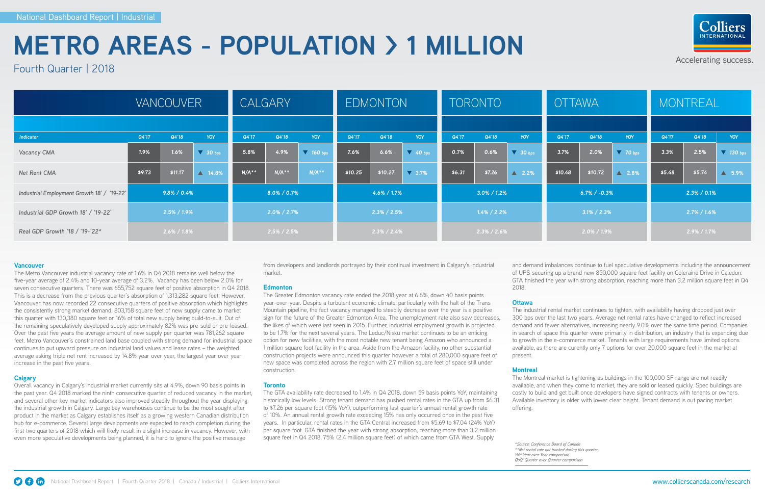### Accelerating success.



|                                            |                 | <b>VANCOUVER</b> |                   | CALGARY        |         |                  | <b>EDMONTON</b> |         |                     | <b>TORONTO</b>  |        |                         | <b>OTTAWA</b>      |         |                 | MONTREAL        |        |                    |
|--------------------------------------------|-----------------|------------------|-------------------|----------------|---------|------------------|-----------------|---------|---------------------|-----------------|--------|-------------------------|--------------------|---------|-----------------|-----------------|--------|--------------------|
|                                            |                 |                  |                   |                |         |                  |                 |         |                     |                 |        |                         |                    |         |                 |                 |        |                    |
| <b>Indicator</b>                           | Q4'17           | Q4'18            | YOY               | Q4'17          | Q4'18   | <b>YOY</b>       | Q4'17           | Q4'18   | YOY                 | Q4'17           | Q4'18  | YOY                     | Q4'17              | Q4'18   | YOY             | Q4'17           | Q4'18  | YOY                |
| <b>Vacancy CMA</b>                         | 1.9%            | 1.6%             | $\sqrt{30}$ bps   | 5.8%           | 4.9%    | $\sqrt{160}$ bps | 7.6%            | 6.6%    | $\sqrt{40}$ bps     | 0.7%            | 0.6%   | $\sqrt{30 \text{ bps}}$ | 3.7%               | 2.0%    | $\sqrt{70}$ bps | 3.3%            | 2.5%   | $\sqrt{ }$ 130 bps |
| Net Rent CMA                               | \$9.73          | \$11.17          | $\triangle$ 14.8% | $N/A**$        | $N/A**$ | $N/A**$          | \$10.25         | \$10.27 | $\overline{V}$ 3.7% | \$6.31          | \$7.26 | $\triangle$ 2.2%        | \$10.48            | \$10.72 | ■ 2.8%          | \$5.48          | \$5.74 | $\Delta$ 5.9%      |
| Industrial Employment Growth 18' / '19-22' | $9.8\% / 0.4\%$ |                  |                   | 8.0% / 0.7%    |         |                  | $4.6\% / 1.7\%$ |         |                     | $3.0\% / 1.2\%$ |        |                         | $6.7\%$ / $-0.3\%$ |         |                 | $2.3\% / 0.1\%$ |        |                    |
| Industrial GDP Growth 18' / '19-22*        | $2.5\% / 1.9\%$ |                  |                   | $2.0\%$ / 2.7% |         |                  | $2.3\%$ / 2.5%  |         |                     | $1.4\%$ / 2.2%  |        |                         | $3.1\% / 2.3\%$    |         |                 | $2.7\%$ / 1.6%  |        |                    |
| Real GDP Growth '18 / '19-'22*             | $2.6\%$ / 1.8%  |                  |                   | $2.5\%$ / 2.5% |         |                  | $2.3\%$ / 2.4%  |         |                     | $2.3\%$ / 2.6%  |        |                         | $2.0\%$ / 1.9%     |         |                 | $2.9\%$ / 1.7%  |        |                    |

#### **Vancouver**

The Metro Vancouver industrial vacancy rate of 1.6% in Q4 2018 remains well below the five-year average of 2.4% and 10-year average of 3.2%. Vacancy has been below 2.0% for seven consecutive quarters. There was 655,752 square feet of positive absorption in Q4 2018. This is a decrease from the previous quarter's absorption of 1,313,282 square feet. However, Vancouver has now recorded 22 consecutive quarters of positive absorption which highlights the consistently strong market demand. 803,158 square feet of new supply came to market this quarter with 130,380 square feet or 16% of total new supply being build-to-suit. Out of the remaining speculatively developed supply approximately 82% was pre-sold or pre-leased. Over the past five years the average amount of new supply per quarter was 781,262 square feet. Metro Vancouver's constrained land base coupled with strong demand for industrial space continues to put upward pressure on industrial land values and lease rates – the weighted average asking triple net rent increased by 14.8% year over year, the largest year over year increase in the past five years.

#### **Calgary**

Overall vacancy in Calgary's industrial market currently sits at 4.9%, down 90 basis points in the past year. Q4 2018 marked the ninth consecutive quarter of reduced vacancy in the market, and several other key market indicators also improved steadily throughout the year displaying the industrial growth in Calgary. Large bay warehouses continue to be the most sought after product in the market as Calgary establishes itself as a growing western Canadian distribution hub for e-commerce. Several large developments are expected to reach completion during the first two quarters of 2018 which will likely result in a slight increase in vacancy. However, with even more speculative developments being planned, it is hard to ignore the positive message

from developers and landlords portrayed by their continual investment in Calgary's industrial market.

#### **Edmonton**

The Greater Edmonton vacancy rate ended the 2018 year at 6.6%, down 40 basis points year-over-year. Despite a turbulent economic climate, particularly with the halt of the Trans Mountain pipeline, the fact vacancy managed to steadily decrease over the year is a positive sign for the future of the Greater Edmonton Area. The unemployment rate also saw decreases, the likes of which were last seen in 2015. Further, industrial employment growth is projected to be 1.7% for the next several years. The Leduc/Nisku market continues to be an enticing option for new facilities, with the most notable new tenant being Amazon who announced a 1 million square foot facility in the area. Aside from the Amazon facility, no other substantial construction projects were announced this quarter however a total of 280,000 square feet of new space was completed across the region with 2.7 million square feet of space still under construction.

#### **Toronto**

The GTA availability rate decreased to 1.4% in Q4 2018, down 59 basis points YoY, maintaining historically low levels. Strong tenant demand has pushed rental rates in the GTA up from \$6.31 to \$7.26 per square foot (15% YoY), outperforming last quarter's annual rental growth rate of 10%. An annual rental growth rate exceeding 15% has only occurred once in the past five years. In particular, rental rates in the GTA Central increased from \$5.69 to \$7.04 (24% YoY) per square foot. GTA finished the year with strong absorption, reaching more than 3.2 million square feet in Q4 2018, 75% (2.4 million square feet) of which came from GTA West. Supply

and demand imbalances continue to fuel speculative developments including the announcement of UPS securing up a brand new 850,000 square feet facility on Coleraine Drive in Caledon. GTA finished the year with strong absorption, reaching more than 3.2 million square feet in Q4 2018.

#### **Ottawa**

The industrial rental market continues to tighten, with availability having dropped just over 300 bps over the last two years. Average net rental rates have changed to reflect increased demand and fewer alternatives, increasing nearly 9.0% over the same time period. Companies in search of space this quarter were primarily in distribution, an industry that is expanding due to growth in the e-commerce market. Tenants with large requirements have limited options available, as there are curently only 7 options for over 20,000 square feet in the market at present.

#### **Montreal**

The Montreal market is tightening as buildings in the 100,000 SF range are not readily available, and when they come to market, they are sold or leased quickly. Spec buildings are costly to build and get built once developers have signed contracts with tenants or owners. Available inventory is older with lower clear height. Tenant demand is out pacing market offering.

*\*Source: Conference Board of Canada \*\*Net rental rate not tracked during this quarter YoY: Year over Year comparison QoQ: Quarter over Quarter comparison*



# **METRO AREAS - POPULATION > 1 MILLION**

Fourth Quarter | 2018